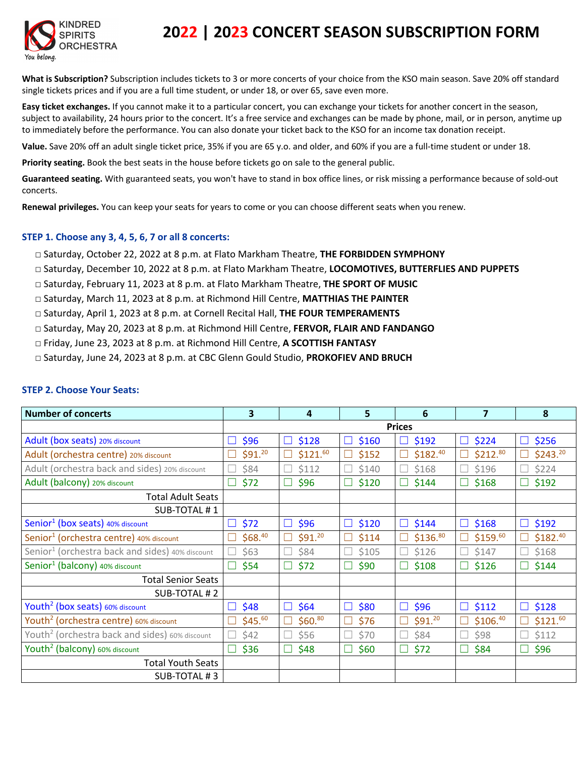

# **2022 | 2023 CONCERT SEASON SUBSCRIPTION FORM**

**What is Subscription?** Subscription includes tickets to 3 or more concerts of your choice from the KSO main season. Save 20% off standard single tickets prices and if you are a full time student, or under 18, or over 65, save even more.

**Easy ticket exchanges.** If you cannot make it to a particular concert, you can exchange your tickets for another concert in the season, subject to availability, 24 hours prior to the concert. It's a free service and exchanges can be made by phone, mail, or in person, anytime up to immediately before the performance. You can also donate your ticket back to the KSO for an income tax donation receipt.

**Value.** Save 20% off an adult single ticket price, 35% if you are 65 y.o. and older, and 60% if you are a full-time student or under 18.

**Priority seating.** Book the best seats in the house before tickets go on sale to the general public.

**Guaranteed seating.** With guaranteed seats, you won't have to stand in box office lines, or risk missing a performance because of sold-out concerts.

**Renewal privileges.** You can keep your seats for years to come or you can choose different seats when you renew.

### **STEP 1. Choose any 3, 4, 5, 6, 7 or all 8 concerts:**

- □ Saturday, October 22, 2022 at 8 p.m. at Flato Markham Theatre, **THE FORBIDDEN SYMPHONY**
- □ Saturday, December 10, 2022 at 8 p.m. at Flato Markham Theatre, **LOCOMOTIVES, BUTTERFLIES AND PUPPETS**
- □ Saturday, February 11, 2023 at 8 p.m. at Flato Markham Theatre, **THE SPORT OF MUSIC**
- □ Saturday, March 11, 2023 at 8 p.m. at Richmond Hill Centre, **MATTHIAS THE PAINTER**
- □ Saturday, April 1, 2023 at 8 p.m. at Cornell Recital Hall, **THE FOUR TEMPERAMENTS**
- □ Saturday, May 20, 2023 at 8 p.m. at Richmond Hill Centre, **FERVOR, FLAIR AND FANDANGO**
- □ Friday, June 23, 2023 at 8 p.m. at Richmond Hill Centre, **A SCOTTISH FANTASY**
- □ Saturday, June 24, 2023 at 8 p.m. at CBC Glenn Gould Studio, **PROKOFIEV AND BRUCH**

| <b>Number of concerts</b>                                   | 3                    | 4                    | 5          | 6                        | $\overline{7}$       | 8                     |
|-------------------------------------------------------------|----------------------|----------------------|------------|--------------------------|----------------------|-----------------------|
|                                                             | <b>Prices</b>        |                      |            |                          |                      |                       |
| Adult (box seats) 20% discount                              | \$96                 | \$128<br>⊔           | \$160      | \$192<br>L               | \$224<br>Ш           | \$256                 |
| Adult (orchestra centre) 20% discount                       | \$91. <sup>20</sup>  | \$121. <sup>60</sup> | \$152      | \$182. <sup>40</sup>     | \$212.80             | \$243.20              |
| Adult (orchestra back and sides) 20% discount               | \$84                 | \$112                | \$140      | \$168                    | \$196                | \$224                 |
| Adult (balcony) 20% discount                                | \$72                 | \$96<br>n.           | \$120      | \$144<br>$\mathbf{I}$    | \$168                | \$192                 |
| <b>Total Adult Seats</b>                                    |                      |                      |            |                          |                      |                       |
| SUB-TOTAL #1                                                |                      |                      |            |                          |                      |                       |
| Senior <sup>1</sup> (box seats) 40% discount                | \$72<br>$\perp$      | \$96<br>⊔            | \$120<br>⊔ | $\Box$<br>\$144          | \$168<br>$\Box$      | \$192<br>$\Box$       |
| Senior <sup>1</sup> (orchestra centre) 40% discount         | \$68.40              | \$91. <sup>20</sup>  | \$114      | \$136. <sup>80</sup>     | \$159. <sup>60</sup> | \$182. <sup>40</sup>  |
| Senior <sup>1</sup> (orchestra back and sides) 40% discount | \$63                 | \$84                 | \$105      | \$126                    | \$147                | \$168                 |
| Senior <sup>1</sup> (balcony) 40% discount                  | \$54                 | \$72                 | \$90       | \$108                    | \$126                | \$144                 |
| <b>Total Senior Seats</b>                                   |                      |                      |            |                          |                      |                       |
| SUB-TOTAL #2                                                |                      |                      |            |                          |                      |                       |
| Youth <sup>2</sup> (box seats) 60% discount                 | \$48<br>$\mathbf{L}$ | \$64<br>⊔            | \$80<br>⊔  | $\Box$<br>\$96           | \$112<br>$\Box$      | \$128<br>$\mathbf{L}$ |
| Youth <sup>2</sup> (orchestra centre) 60% discount          | \$45. <sup>60</sup>  | \$60. <sup>80</sup>  | \$76       | \$91. <sup>20</sup><br>Г | \$106. <sup>40</sup> | \$121. <sup>60</sup>  |
| Youth <sup>2</sup> (orchestra back and sides) 60% discount  | \$42                 | \$56                 | \$70       | \$84                     | \$98                 | \$112                 |
| Youth <sup>2</sup> (balcony) 60% discount                   | \$36                 | \$48<br>∟            | \$60       | \$72<br>⊔                | \$84                 | \$96                  |
| <b>Total Youth Seats</b>                                    |                      |                      |            |                          |                      |                       |
| SUB-TOTAL #3                                                |                      |                      |            |                          |                      |                       |

#### **STEP 2. Choose Your Seats:**